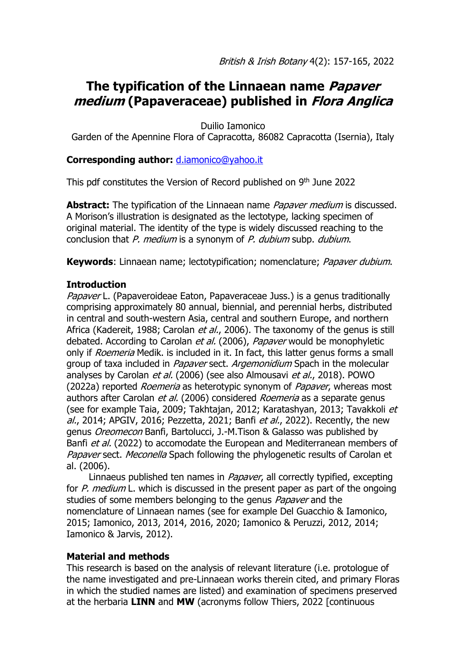# **The typification of the Linnaean name Papaver medium (Papaveraceae) published in Flora Anglica**

Duilio Iamonico

Garden of the Apennine Flora of Capracotta, 86082 Capracotta (Isernia), Italy

### **Corresponding author:** [d.iamonico@yahoo.it](mailto:d.iamonico@yahoo.it)

This pdf constitutes the Version of Record published on 9<sup>th</sup> June 2022

**Abstract:** The typification of the Linnaean name *Papaver medium* is discussed. A Morison's illustration is designated as the lectotype, lacking specimen of original material. The identity of the type is widely discussed reaching to the conclusion that P. medium is a synonym of P. dubium subp. dubium.

**Keywords**: Linnaean name; lectotypification; nomenclature; Papaver dubium.

#### **Introduction**

Papaver L. (Papaveroideae Eaton, Papaveraceae Juss.) is a genus traditionally comprising approximately 80 annual, biennial, and perennial herbs, distributed in central and south-western Asia, central and southern Europe, and northern Africa (Kadereit, 1988; Carolan et al., 2006). The taxonomy of the genus is still debated. According to Carolan et al. (2006), Papaver would be monophyletic only if *Roemeria* Medik. is included in it. In fact, this latter genus forms a small group of taxa included in *Papaver* sect. Argemonidium Spach in the molecular analyses by Carolan et al. (2006) (see also Almousavi et al., 2018). POWO (2022a) reported *Roemeria* as heterotypic synonym of *Papaver*, whereas most authors after Carolan *et al.* (2006) considered *Roemeria* as a separate genus (see for example Taia, 2009; Takhtajan, 2012; Karatashyan, 2013; Tavakkoli et al., 2014; APGIV, 2016; Pezzetta, 2021; Banfi et al., 2022). Recently, the new genus Oreomecon Banfi, Bartolucci, J.-M.Tison & Galasso was published by Banfi *et al.* (2022) to accomodate the European and Mediterranean members of Papaver sect. Meconella Spach following the phylogenetic results of Carolan et al. (2006).

Linnaeus published ten names in *Papaver*, all correctly typified, excepting for  $P$ . medium L. which is discussed in the present paper as part of the ongoing studies of some members belonging to the genus *Papaver* and the nomenclature of Linnaean names (see for example Del Guacchio & Iamonico, 2015; Iamonico, 2013, 2014, 2016, 2020; Iamonico & Peruzzi, 2012, 2014; Iamonico & Jarvis, 2012).

#### **Material and methods**

This research is based on the analysis of relevant literature (i.e. protologue of the name investigated and pre-Linnaean works therein cited, and primary Floras in which the studied names are listed) and examination of specimens preserved at the herbaria **LINN** and **MW** (acronyms follow Thiers, 2022 [continuous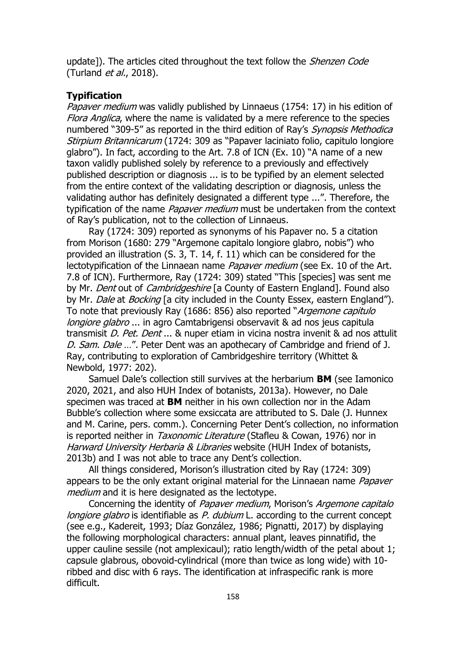update]). The articles cited throughout the text follow the *Shenzen Code* (Turland *et al.*, 2018).

#### **Typification**

Papaver medium was validly published by Linnaeus (1754: 17) in his edition of Flora Anglica, where the name is validated by a mere reference to the species numbered "309-5" as reported in the third edition of Ray's Synopsis Methodica Stirpium Britannicarum (1724: 309 as "Papaver laciniato folio, capitulo longiore glabro"). In fact, according to the Art. 7.8 of ICN (Ex. 10) "A name of a new taxon validly published solely by reference to a previously and effectively published description or diagnosis ... is to be typified by an element selected from the entire context of the validating description or diagnosis, unless the validating author has definitely designated a different type ...". Therefore, the typification of the name *Papaver medium* must be undertaken from the context of Ray's publication, not to the collection of Linnaeus.

Ray (1724: 309) reported as synonyms of his Papaver no. 5 a citation from Morison (1680: 279 "Argemone capitalo longiore glabro, nobis") who provided an illustration (S. 3, T. 14, f. 11) which can be considered for the lectotypification of the Linnaean name *Papaver medium* (see Ex. 10 of the Art. 7.8 of ICN). Furthermore, Ray (1724: 309) stated "This [species] was sent me by Mr. *Dent* out of *Cambridgeshire* [a County of Eastern England]. Found also by Mr. Dale at Bocking [a city included in the County Essex, eastern England"). To note that previously Ray (1686: 856) also reported "Argemone capitulo longiore glabro ... in agro Camtabrigensi observavit & ad nos jeus capitula transmisit *D. Pet. Dent* ... & nuper etiam in vicina nostra invenit & ad nos attulit D. Sam. Dale ...". Peter Dent was an apothecary of Cambridge and friend of J. Ray, contributing to exploration of Cambridgeshire territory (Whittet & Newbold, 1977: 202).

Samuel Dale's collection still survives at the herbarium **BM** (see Iamonico 2020, 2021, and also HUH Index of botanists, 2013a). However, no Dale specimen was traced at **BM** neither in his own collection nor in the Adam Bubble's collection where some exsiccata are attributed to S. Dale (J. Hunnex and M. Carine, pers. comm.). Concerning Peter Dent's collection, no information is reported neither in *Taxonomic Literature* (Stafleu & Cowan, 1976) nor in Harward University Herbaria & Libraries website (HUH Index of botanists, 2013b) and I was not able to trace any Dent's collection.

All things considered, Morison's illustration cited by Ray (1724: 309) appears to be the only extant original material for the Linnaean name *Papaver* medium and it is here designated as the lectotype.

Concerning the identity of Papaver medium, Morison's Argemone capitalo *longiore glabro* is identifiable as  $P$ . *dubium* L. according to the current concept (see e.g., Kadereit, 1993; Díaz González, 1986; Pignatti, 2017) by displaying the following morphological characters: annual plant, leaves pinnatifid, the upper cauline sessile (not amplexicaul); ratio length/width of the petal about 1; capsule glabrous, obovoid-cylindrical (more than twice as long wide) with 10 ribbed and disc with 6 rays. The identification at infraspecific rank is more difficult.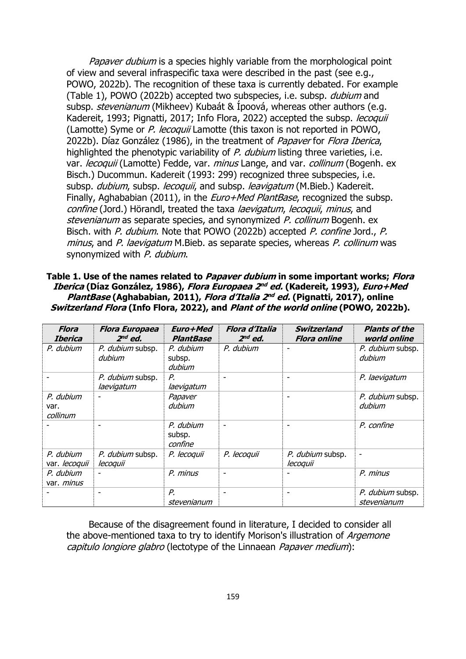Papaver dubium is a species highly variable from the morphological point of view and several infraspecific taxa were described in the past (see e.g., POWO, 2022b). The recognition of these taxa is currently debated. For example (Table 1), POWO (2022b) accepted two subspecies, i.e. subsp. dubium and subsp. *stevenianum* (Mikheev) Kubaát & Ípoová, whereas other authors (e.g. Kadereit, 1993; Pignatti, 2017; Info Flora, 2022) accepted the subsp. *lecoquii* (Lamotte) Syme or P. lecoquii Lamotte (this taxon is not reported in POWO, 2022b). Díaz González (1986), in the treatment of Papaver for Flora Iberica, highlighted the phenotypic variability of P. dubium listing three varieties, i.e. var. lecoquii (Lamotte) Fedde, var. minus Lange, and var. collinum (Bogenh. ex Bisch.) Ducommun. Kadereit (1993: 299) recognized three subspecies, i.e. subsp. dubium, subsp. lecoquii, and subsp. leavigatum (M.Bieb.) Kadereit. Finally, Aghababian (2011), in the *Euro+Med PlantBase*, recognized the subsp. confine (Jord.) Hörandl, treated the taxa laevigatum, lecoquii, minus, and stevenianum as separate species, and synonymized P. collinum Bogenh. ex Bisch. with P. dubium. Note that POWO (2022b) accepted P. confine Jord., P. minus, and P. laevigatum M.Bieb. as separate species, whereas P. collinum was synonymized with P. dubium.

**Table 1. Use of the names related to Papaver dubium in some important works; Flora Iberica (Díaz González, 1986), Flora Europaea 2 nd ed. (Kadereit, 1993), Euro+Med PlantBase (Aghababian, 2011), Flora d'Italia 2 nd ed. (Pignatti, 2017), online Switzerland Flora (Info Flora, 2022), and Plant of the world online (POWO, 2022b).**

| <b>Flora</b><br><b>Iberica</b> | <b>Flora Europaea</b><br>$2nd$ ed. | Euro+Med<br><b>PlantBase</b>   | Flora d'Italia<br>$2nd$ ed. | <b>Switzerland</b><br><b>Flora online</b> | <b>Plants of the</b><br>world online |
|--------------------------------|------------------------------------|--------------------------------|-----------------------------|-------------------------------------------|--------------------------------------|
| P. dubium                      | P. dubium subsp.<br>dubium         | P. dubium<br>subsp.<br>dubium  | P. dubium                   |                                           | P. dubium subsp.<br>dubium           |
|                                | P. dubium subsp.<br>laevigatum     | Р.<br>laevigatum               |                             | ۰                                         | P. laevigatum                        |
| P. dubium<br>var.<br>collinum  |                                    | Papaver<br>dubium              |                             |                                           | P. dubium subsp.<br>dubium           |
|                                |                                    | P. dubium<br>subsp.<br>confine |                             |                                           | P. confine                           |
| P. dubium<br>var. lecoquii     | P. dubium subsp.<br>lecoquii       | P. lecoquii                    | P. lecoquii                 | P. dubium subsp.<br>lecoquii              | ٠                                    |
| P. dubium<br>var. <i>minus</i> |                                    | P. minus                       |                             |                                           | P. minus                             |
|                                |                                    | Р.<br>stevenianum              |                             |                                           | P. dubium subsp.<br>stevenianum      |

Because of the disagreement found in literature, I decided to consider all the above-mentioned taxa to try to identify Morison's illustration of *Argemone* capitulo longiore glabro (lectotype of the Linnaean Papaver medium):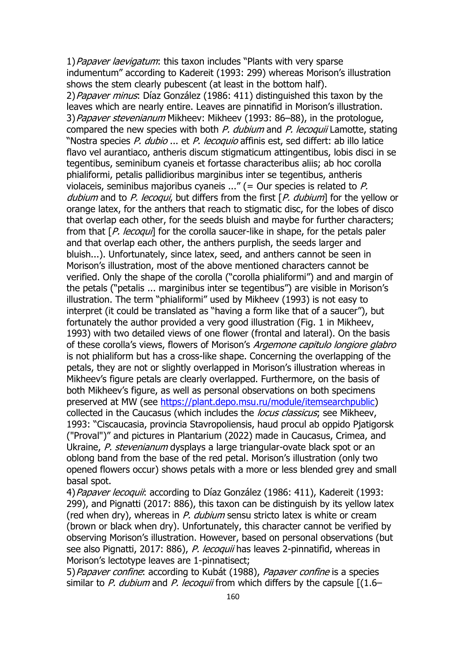1) Papaver laevigatum: this taxon includes "Plants with very sparse indumentum" according to Kadereit (1993: 299) whereas Morison's illustration shows the stem clearly pubescent (at least in the bottom half). 2) Papaver minus: Díaz González (1986: 411) distinguished this taxon by the leaves which are nearly entire. Leaves are pinnatifid in Morison's illustration. 3) Papaver stevenianum Mikheev: Mikheev (1993: 86–88), in the protologue, compared the new species with both  $P$ . dubium and  $P$ . lecoquii Lamotte, stating "Nostra species P. dubio ... et P. lecoquio affinis est, sed differt: ab illo latice flavo vel aurantiaco, antheris discum stigmaticum attingentibus, lobis disci in se tegentibus, seminibum cyaneis et fortasse characteribus aliis; ab hoc corolla phialiformi, petalis pallidioribus marginibus inter se tegentibus, antheris violaceis, seminibus majoribus cyaneis ..." (= Our species is related to  $P$ . dubium and to P. lecoqui, but differs from the first  $[P, du$ bium] for the yellow or orange latex, for the anthers that reach to stigmatic disc, for the lobes of disco that overlap each other, for the seeds bluish and maybe for further characters; from that [P. lecoqui] for the corolla saucer-like in shape, for the petals paler and that overlap each other, the anthers purplish, the seeds larger and bluish...). Unfortunately, since latex, seed, and anthers cannot be seen in Morison's illustration, most of the above mentioned characters cannot be verified. Only the shape of the corolla ("corolla phialiformi") and and margin of the petals ("petalis ... marginibus inter se tegentibus") are visible in Morison's illustration. The term "phialiformi" used by Mikheev (1993) is not easy to interpret (it could be translated as "having a form like that of a saucer"), but fortunately the author provided a very good illustration (Fig. 1 in Mikheev, 1993) with two detailed views of one flower (frontal and lateral). On the basis of these corolla's views, flowers of Morison's Argemone capitulo longiore glabro is not phialiform but has a cross-like shape. Concerning the overlapping of the petals, they are not or slightly overlapped in Morison's illustration whereas in Mikheev's figure petals are clearly overlapped. Furthermore, on the basis of both Mikheev's figure, as well as personal observations on both specimens preserved at MW (see [https://plant.depo.msu.ru/module/itemsearchpublic\)](https://plant.depo.msu.ru/module/itemsearchpublic) collected in the Caucasus (which includes the *locus classicus*; see Mikheev, 1993: "Ciscaucasia, provincia Stavropoliensis, haud procul ab oppido Pjatigorsk ("Proval")" and pictures in Plantarium (2022) made in Caucasus, Crimea, and Ukraine, P. stevenianum dysplays a large triangular-ovate black spot or an oblong band from the base of the red petal. Morison's illustration (only two opened flowers occur) shows petals with a more or less blended grey and small basal spot.

4) Papaver lecoquii: according to Díaz González (1986: 411), Kadereit (1993: 299), and Pignatti (2017: 886), this taxon can be distinguish by its yellow latex (red when dry), whereas in P. dubium sensu stricto latex is white or cream (brown or black when dry). Unfortunately, this character cannot be verified by observing Morison's illustration. However, based on personal observations (but see also Pignatti, 2017: 886), P. lecoquii has leaves 2-pinnatifid, whereas in Morison's lectotype leaves are 1-pinnatisect;

5) Papaver confine: according to Kubát (1988), Papaver confine is a species similar to P. dubium and P. lecoquii from which differs by the capsule  $[(1.6-$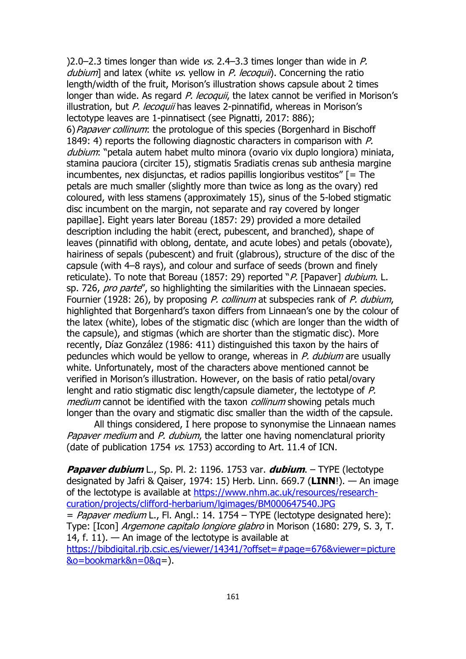)2.0–2.3 times longer than wide  $vs.$  2.4–3.3 times longer than wide in P. dubium] and latex (white  $vs.$  yellow in P. lecoquii). Concerning the ratio length/width of the fruit, Morison's illustration shows capsule about 2 times longer than wide. As regard P. lecoquii, the latex cannot be verified in Morison's illustration, but P. lecoquii has leaves 2-pinnatifid, whereas in Morison's lectotype leaves are 1-pinnatisect (see Pignatti, 2017: 886); 6) Papaver collinum: the protologue of this species (Borgenhard in Bischoff 1849: 4) reports the following diagnostic characters in comparison with P. dubium: "petala autem habet multo minora (ovario vix duplo longiora) miniata, stamina pauciora (circiter 15), stigmatis 5radiatis crenas sub anthesia margine incumbentes, nex disjunctas, et radios papillis longioribus vestitos" [= The petals are much smaller (slightly more than twice as long as the ovary) red coloured, with less stamens (approximately 15), sinus of the 5-lobed stigmatic disc incumbent on the margin, not separate and ray covered by longer papillae]. Eight years later Boreau (1857: 29) provided a more detailed description including the habit (erect, pubescent, and branched), shape of leaves (pinnatifid with oblong, dentate, and acute lobes) and petals (obovate), hairiness of sepals (pubescent) and fruit (glabrous), structure of the disc of the capsule (with 4–8 rays), and colour and surface of seeds (brown and finely reticulate). To note that Boreau (1857: 29) reported "P. [Papaver] dubium. L. sp. 726, pro parte", so highlighting the similarities with the Linnaean species. Fournier (1928: 26), by proposing P. collinum at subspecies rank of P. dubium, highlighted that Borgenhard's taxon differs from Linnaean's one by the colour of the latex (white), lobes of the stigmatic disc (which are longer than the width of the capsule), and stigmas (which are shorter than the stigmatic disc). More recently, Díaz González (1986: 411) distinguished this taxon by the hairs of peduncles which would be yellow to orange, whereas in P. dubium are usually white. Unfortunately, most of the characters above mentioned cannot be verified in Morison's illustration. However, on the basis of ratio petal/ovary lenght and ratio stigmatic disc length/capsule diameter, the lectotype of P. medium cannot be identified with the taxon *collinum* showing petals much longer than the ovary and stigmatic disc smaller than the width of the capsule.

All things considered, I here propose to synonymise the Linnaean names Papaver medium and P. dubium, the latter one having nomenclatural priority (date of publication 1754  $\sqrt{5}$ , 1753) according to Art. 11.4 of ICN.

**Papaver dubium** L., Sp. Pl. 2: 1196. 1753 var. **dubium**. – TYPE (lectotype designated by Jafri & Qaiser, 1974: 15) Herb. Linn. 669.7 (**LINN**!). — An image of the lectotype is available at [https://www.nhm.ac.uk/resources/research](https://www.nhm.ac.uk/resources/research-curation/projects/clifford-herbarium/lgimages/BM000647540.JPG)[curation/projects/clifford-herbarium/lgimages/BM000647540.JPG](https://www.nhm.ac.uk/resources/research-curation/projects/clifford-herbarium/lgimages/BM000647540.JPG)  $=$  *Papaver medium* L., Fl. Angl.: 14. 1754 – TYPE (lectotype designated here): Type: [Icon] Argemone capitalo longiore glabro in Morison (1680: 279, S. 3, T. 14, f. 11).  $-$  An image of the lectotype is available at [https://bibdigital.rjb.csic.es/viewer/14341/?offset=#page=676&viewer=picture](https://bibdigital.rjb.csic.es/viewer/14341/?offset=#page=676&viewer=picture&o=bookmark&n=0&q) [&o=bookmark&n=0&q=](https://bibdigital.rjb.csic.es/viewer/14341/?offset=#page=676&viewer=picture&o=bookmark&n=0&q)).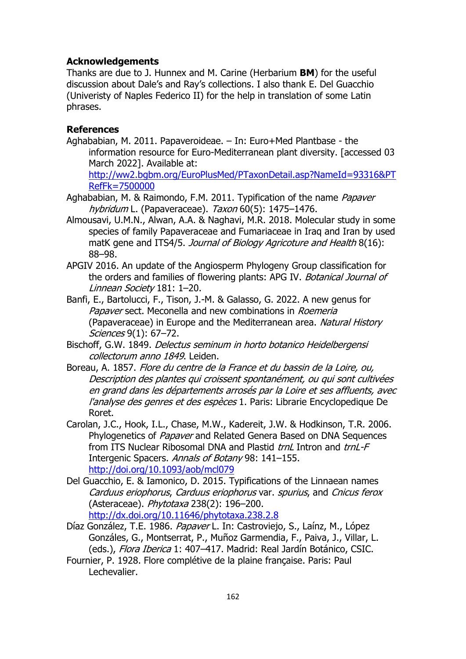## **Acknowledgements**

Thanks are due to J. Hunnex and M. Carine (Herbarium **BM**) for the useful discussion about Dale's and Ray's collections. I also thank E. Del Guacchio (Univeristy of Naples Federico II) for the help in translation of some Latin phrases.

#### **References**

Aghababian, M. 2011. Papaveroideae. – In: Euro+Med Plantbase - the information resource for Euro-Mediterranean plant diversity. [accessed 03 March 2022]. Available at:

[http://ww2.bgbm.org/EuroPlusMed/PTaxonDetail.asp?NameId=93316&PT](http://ww2.bgbm.org/EuroPlusMed/PTaxonDetail.asp?NameId=93316&PTRefFk=7500000) [RefFk=7500000](http://ww2.bgbm.org/EuroPlusMed/PTaxonDetail.asp?NameId=93316&PTRefFk=7500000)

- Aghababian, M. & Raimondo, F.M. 2011. Typification of the name Papaver hybridum L. (Papaveraceae). Taxon 60(5): 1475-1476.
- Almousavi, U.M.N., Alwan, A.A. & Naghavi, M.R. 2018. Molecular study in some species of family Papaveraceae and Fumariaceae in Iraq and Iran by used matK gene and ITS4/5. Journal of Biology Agricoture and Health 8(16): 88–98.
- APGIV 2016. An update of the Angiosperm Phylogeny Group classification for the orders and families of flowering plants: APG IV. Botanical Journal of Linnean Society 181: 1–20.
- Banfi, E., Bartolucci, F., Tison, J.-M. & Galasso, G. 2022. A new genus for Papaver sect. Meconella and new combinations in Roemeria (Papaveraceae) in Europe and the Mediterranean area. Natural History Sciences 9(1): 67–72.
- Bischoff, G.W. 1849. Delectus seminum in horto botanico Heidelbergensi collectorum anno 1849. Leiden.
- Boreau, A. 1857. Flore du centre de la France et du bassin de la Loire, ou, Description des plantes qui croissent spontanément, ou qui sont cultivées en grand dans les départements arrosés par la Loire et ses affluents, avec l'analyse des genres et des espèces 1. Paris: Librarie Encyclopedique De Roret.
- Carolan, J.C., Hook, I.L., Chase, M.W., Kadereit, J.W. & Hodkinson, T.R. 2006. Phylogenetics of Papaver and Related Genera Based on DNA Sequences from ITS Nuclear Ribosomal DNA and Plastid trnL Intron and trnL-F Intergenic Spacers. Annals of Botany 98: 141-155. <http://doi.org/10.1093/aob/mcl079>
- Del Guacchio, E. & Iamonico, D. 2015. Typifications of the Linnaean names Carduus eriophorus, Carduus eriophorus var. spurius, and Cnicus ferox (Asteraceae). Phytotaxa 238(2): 196–200. <http://dx.doi.org/10.11646/phytotaxa.238.2.8>
- Díaz González, T.E. 1986. Papaver L. In: Castroviejo, S., Laínz, M., López Gonzáles, G., Montserrat, P., Muñoz Garmendia, F., Paiva, J., Villar, L. (eds.), Flora Iberica 1: 407-417. Madrid: Real Jardín Botánico, CSIC.
- Fournier, P. 1928. Flore complétive de la plaine française. Paris: Paul Lechevalier.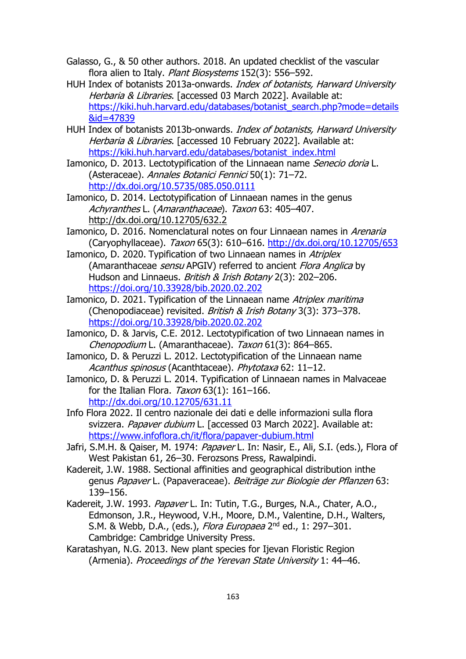- Galasso, G., & 50 other authors. 2018. An updated checklist of the vascular flora alien to Italy. Plant Biosystems 152(3): 556-592.
- HUH Index of botanists 2013a-onwards. Index of botanists, Harward University Herbaria & Libraries. [accessed 03 March 2022]. Available at: https://kiki.huh.harvard.edu/databases/botanist\_search.php?mode=details &id=47839
- HUH Index of botanists 2013b-onwards. Index of botanists, Harward University Herbaria & Libraries. [accessed 10 February 2022]. Available at: https://kiki.huh.harvard.edu/databases/botanist\_index.html
- Iamonico, D. 2013. Lectotypification of the Linnaean name Senecio doria L. (Asteraceae). Annales Botanici Fennici 50(1): 71–72. http://dx.doi.org/10.5735/085.050.0111
- Iamonico, D. 2014. Lectotypification of Linnaean names in the genus Achyranthes L. (Amaranthaceae). Taxon 63: 405-407. http://dx.doi.org/10.12705/632.2
- Iamonico, D. 2016. Nomenclatural notes on four Linnaean names in Arenaria (Caryophyllaceae). Taxon 65(3): 610–616. http://dx.doi.org/10.12705/653
- Iamonico, D. 2020. Typification of two Linnaean names in Atriplex (Amaranthaceae sensu APGIV) referred to ancient Flora Anglica by Hudson and Linnaeus. British & Irish Botany 2(3): 202-206. https://doi.org/10.33928/bib.2020.02.202
- Iamonico, D. 2021. Typification of the Linnaean name Atriplex maritima (Chenopodiaceae) revisited. British & Irish Botany 3(3): 373–378. https://doi.org/10.33928/bib.2020.02.202
- Iamonico, D. & Jarvis, C.E. 2012. Lectotypification of two Linnaean names in Chenopodium L. (Amaranthaceae). Taxon 61(3): 864-865.
- Iamonico, D. & Peruzzi L. 2012. Lectotypification of the Linnaean name Acanthus spinosus (Acanthtaceae). Phytotaxa 62: 11-12.
- Iamonico, D. & Peruzzi L. 2014. Typification of Linnaean names in Malvaceae for the Italian Flora.  $Taxon$  63(1): 161-166. http://dx.doi.org/10.12705/631.11
- Info Flora 2022. Il centro nazionale dei dati e delle informazioni sulla flora svizzera. Papaver dubium L. [accessed 03 March 2022]. Available at: https://www.infoflora.ch/it/flora/papaver-dubium.html
- Jafri, S.M.H. & Qaiser, M. 1974: Papaver L. In: Nasir, E., Ali, S.I. (eds.), Flora of West Pakistan 61, 26–30. Ferozsons Press, Rawalpindi.
- Kadereit, J.W. 1988. Sectional affinities and geographical distribution inthe genus Papaver L. (Papaveraceae). Beiträge zur Biologie der Pflanzen 63: 139–156.
- Kadereit, J.W. 1993. Papaver L. In: Tutin, T.G., Burges, N.A., Chater, A.O., Edmonson, J.R., Heywood, V.H., Moore, D.M., Valentine, D.H., Walters, S.M. & Webb, D.A., (eds.), *Flora Europaea* 2<sup>nd</sup> ed., 1: 297–301. Cambridge: Cambridge University Press.
- Karatashyan, N.G. 2013. New plant species for Ijevan Floristic Region (Armenia). Proceedings of the Yerevan State University 1: 44-46.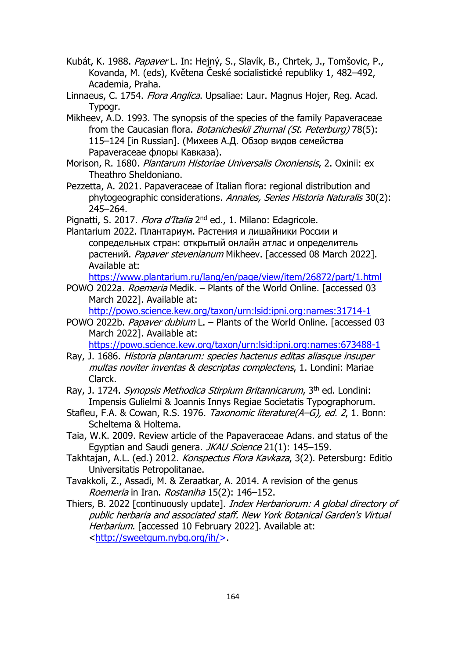- Kubát, K. 1988. *Papaver* L. In: Hejný, S., Slavík, B., Chrtek, J., Tomšovic, P., Kovanda, M. (eds), Květena České socialistické republiky 1, 482–492, Academia, Praha.
- Linnaeus, C. 1754. *Flora Anglica*. Upsaliae: Laur. Magnus Hojer, Reg. Acad. Typogr.
- Mikheev, A.D. 1993. The synopsis of the species of the family Papaveraceae from the Caucasian flora. Botanicheskii Zhurnal (St. Peterburg) 78(5): 115–124 [in Russian]. (Михеев А.Д. Обзор видов семейства Papaveraceae флоры Кавказа).
- Morison, R. 1680. Plantarum Historiae Universalis Oxoniensis, 2. Oxinii: ex Theathro Sheldoniano.
- Pezzetta, A. 2021. Papaveraceae of Italian flora: regional distribution and phytogeographic considerations. Annales, Series Historia Naturalis 30(2): 245–264.
- Pignatti, S. 2017. *Flora d'Italia* 2<sup>nd</sup> ed., 1. Milano: Edagricole.
- Plantarium 2022. Плантариум. Растения и лишайники России и сопредельных стран: открытый онлайн атлас и определитель растений. Papaver stevenianum Mikheev. [accessed 08 March 2022]. Available at:

https://www.plantarium.ru/lang/en/page/view/item/26872/part/1.html

- POWO 2022a. Roemeria Medik. Plants of the World Online. [accessed 03 March 2022]. Available at:
	- http://powo.science.kew.org/taxon/urn:lsid:ipni.org:names:31714-1
- POWO 2022b. Papaver dubium L. Plants of the World Online. [accessed 03 March 2022]. Available at:

https://powo.science.kew.org/taxon/urn:lsid:ipni.org:names:673488-1

- Ray, J. 1686. Historia plantarum: species hactenus editas aliasque insuper multas noviter inventas & descriptas complectens, 1. Londini: Mariae Clarck.
- Ray, J. 1724. Synopsis Methodica Stirpium Britannicarum, 3th ed. Londini: Impensis Gulielmi & Joannis Innys Regiae Societatis Typographorum.
- Stafleu, F.A. & Cowan, R.S. 1976. Taxonomic literature(A–G), ed. 2, 1. Bonn: Scheltema & Holtema.
- Taia, W.K. 2009. Review article of the Papaveraceae Adans. and status of the Egyptian and Saudi genera. JKAU Science 21(1): 145-159.
- Takhtajan, A.L. (ed.) 2012. Konspectus Flora Kavkaza, 3(2). Petersburg: Editio Universitatis Petropolitanae.
- Tavakkoli, Z., Assadi, M. & Zeraatkar, A. 2014. A revision of the genus Roemeria in Iran. Rostaniha 15(2): 146–152.
- Thiers, B. 2022 [continuously update]. Index Herbariorum: A global directory of public herbaria and associated staff. New York Botanical Garden's Virtual Herbarium. [accessed 10 February 2022]. Available at: <http://sweetgum.nybg.org/ih/>.